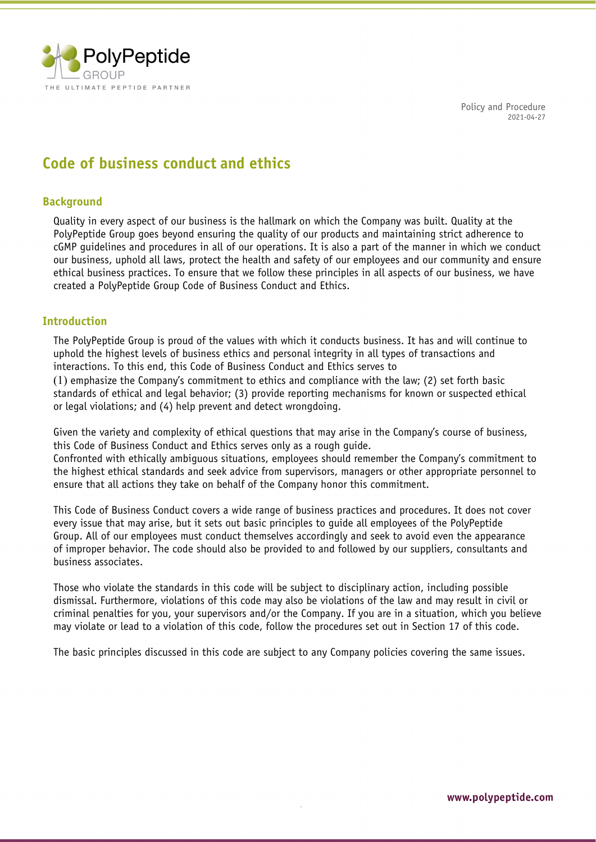

# **Code of business conduct and ethics**

## **Background**

Quality in every aspect of our business is the hallmark on which the Company was built. Quality at the PolyPeptide Group goes beyond ensuring the quality of our products and maintaining strict adherence to cGMP guidelines and procedures in all of our operations. It is also a part of the manner in which we conduct our business, uphold all laws, protect the health and safety of our employees and our community and ensure ethical business practices. To ensure that we follow these principles in all aspects of our business, we have created a PolyPeptide Group Code of Business Conduct and Ethics.

## **Introduction**

The PolyPeptide Group is proud of the values with which it conducts business. It has and will continue to uphold the highest levels of business ethics and personal integrity in all types of transactions and interactions. To this end, this Code of Business Conduct and Ethics serves to

(1) emphasize the Company's commitment to ethics and compliance with the law; (2) set forth basic standards of ethical and legal behavior; (3) provide reporting mechanisms for known or suspected ethical or legal violations; and (4) help prevent and detect wrongdoing.

Given the variety and complexity of ethical questions that may arise in the Company's course of business, this Code of Business Conduct and Ethics serves only as a rough guide.

Confronted with ethically ambiguous situations, employees should remember the Company's commitment to the highest ethical standards and seek advice from supervisors, managers or other appropriate personnel to ensure that all actions they take on behalf of the Company honor this commitment.

This Code of Business Conduct covers a wide range of business practices and procedures. It does not cover every issue that may arise, but it sets out basic principles to guide all employees of the PolyPeptide Group. All of our employees must conduct themselves accordingly and seek to avoid even the appearance of improper behavior. The code should also be provided to and followed by our suppliers, consultants and business associates.

Those who violate the standards in this code will be subject to disciplinary action, including possible dismissal. Furthermore, violations of this code may also be violations of the law and may result in civil or criminal penalties for you, your supervisors and/or the Company. If you are in a situation, which you believe may violate or lead to a violation of this code, follow the procedures set out in Section 17 of this code.

The basic principles discussed in this code are subject to any Company policies covering the same issues.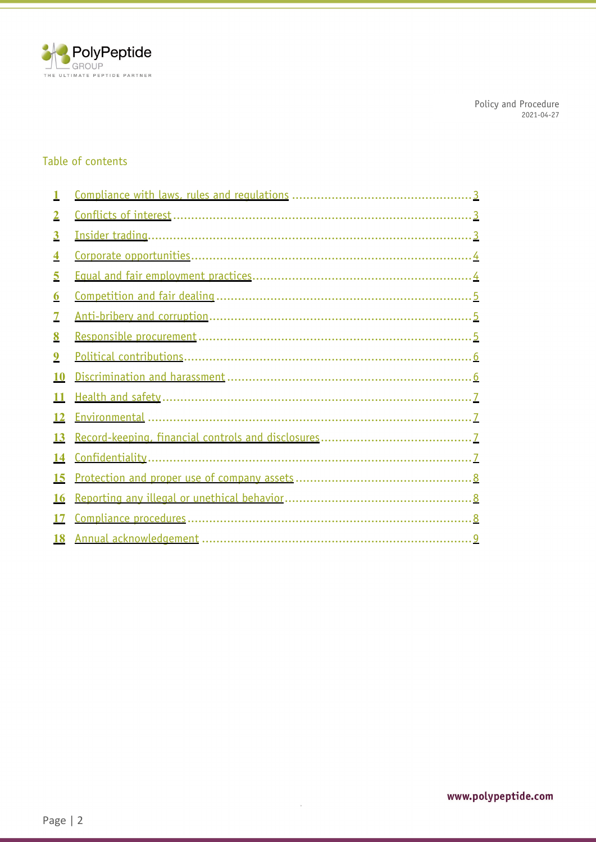

## Table of contents

| $\overline{2}$          |                          |
|-------------------------|--------------------------|
| $\overline{\mathbf{3}}$ |                          |
| $\overline{\mathbf{4}}$ | Corporate opportunities. |
| 5                       |                          |
| $\boldsymbol{6}$        |                          |
| 7                       |                          |
| 8                       |                          |
| $\overline{9}$          |                          |
| <b>10</b>               |                          |
| 11                      |                          |
| 12                      |                          |
| <b>13</b>               |                          |
| 14                      |                          |
| 15                      |                          |
| <b>16</b>               |                          |
| 17                      |                          |
| <b>18</b>               |                          |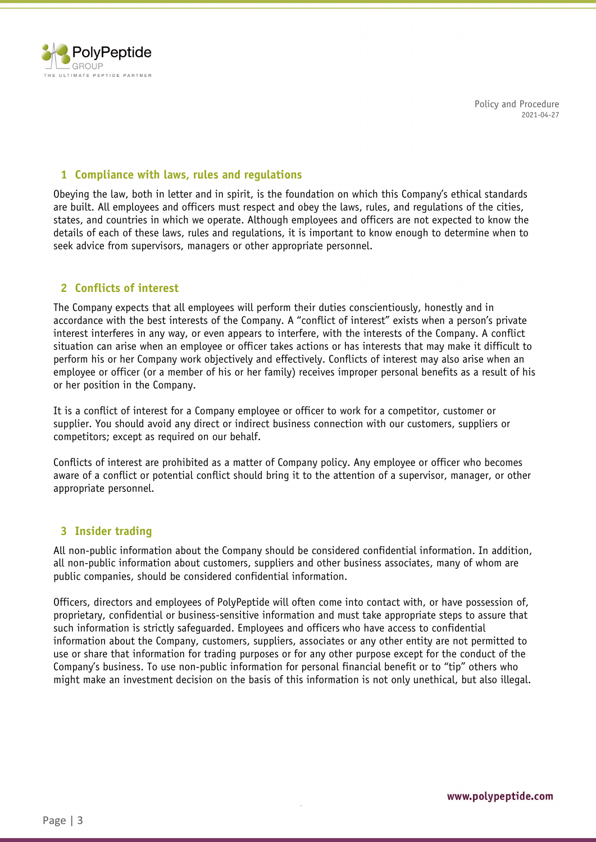

## **1 Compliance with laws, rules and regulations**

Obeying the law, both in letter and in spirit, is the foundation on which this Company's ethical standards are built. All employees and officers must respect and obey the laws, rules, and regulations of the cities, states, and countries in which we operate. Although employees and officers are not expected to know the details of each of these laws, rules and regulations, it is important to know enough to determine when to seek advice from supervisors, managers or other appropriate personnel.

## <span id="page-2-0"></span>**2 Conflicts of interest**

The Company expects that all employees will perform their duties conscientiously, honestly and in accordance with the best interests of the Company. A "conflict of interest" exists when a person's private interest interferes in any way, or even appears to interfere, with the interests of the Company. A conflict situation can arise when an employee or officer takes actions or has interests that may make it difficult to perform his or her Company work objectively and effectively. Conflicts of interest may also arise when an employee or officer (or a member of his or her family) receives improper personal benefits as a result of his or her position in the Company.

It is a conflict of interest for a Company employee or officer to work for a competitor, customer or supplier. You should avoid any direct or indirect business connection with our customers, suppliers or competitors; except as required on our behalf.

Conflicts of interest are prohibited as a matter of Company policy. Any employee or officer who becomes aware of a conflict or potential conflict should bring it to the attention of a supervisor, manager, or other appropriate personnel.

## <span id="page-2-1"></span>**3 Insider trading**

All non-public information about the Company should be considered confidential information. In addition, all non-public information about customers, suppliers and other business associates, many of whom are public companies, should be considered confidential information.

Officers, directors and employees of PolyPeptide will often come into contact with, or have possession of, proprietary, confidential or business-sensitive information and must take appropriate steps to assure that such information is strictly safeguarded. Employees and officers who have access to confidential information about the Company, customers, suppliers, associates or any other entity are not permitted to use or share that information for trading purposes or for any other purpose except for the conduct of the Company's business. To use non-public information for personal financial benefit or to "tip" others who might make an investment decision on the basis of this information is not only unethical, but also illegal.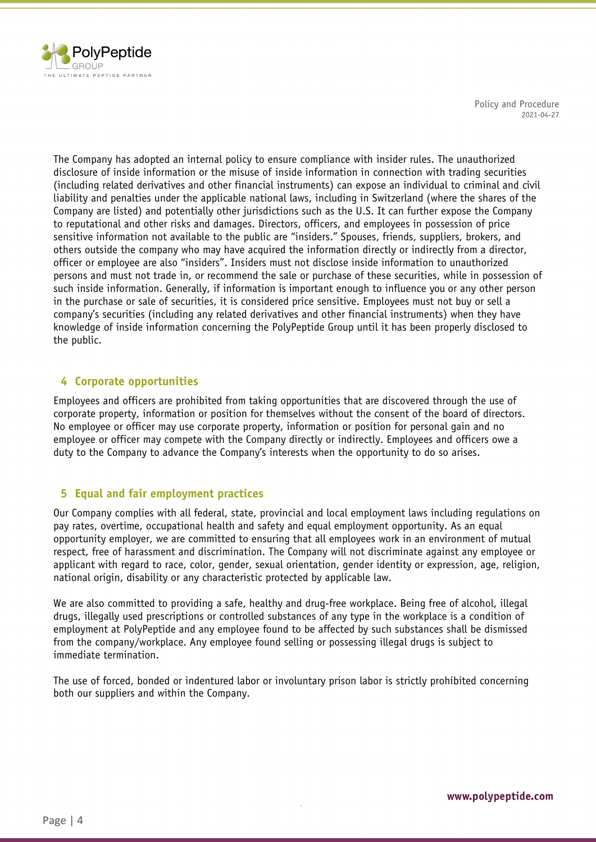

The Company has adopted an internal policy to ensure compliance with insider rules. The unauthorized disclosure of inside information or the misuse of inside information in connection with trading securities (including related derivatives and other financial instruments) can expose an individual to criminal and civil liability and penalties under the applicable national laws, including in Switzerland (where the shares of the Company are listed) and potentially other jurisdictions such as the U.S. It can further expose the Company to reputational and other risks and damages. Directors, officers, and employees in possession of price sensitive information not available to the public are "insiders." Spouses, friends, suppliers, brokers, and others outside the company who may have acquired the information directly or indirectly from a director, officer or employee are also "insiders". Insiders must not disclose inside information to unauthorized persons and must not trade in, or recommend the sale or purchase of these securities, while in possession of such inside information. Generally, if information is important enough to influence you or any other person in the purchase or sale of securities, it is considered price sensitive. Employees must not buy or sell a company's securities (including any related derivatives and other financial instruments) when they have knowledge of inside information concerning the PolyPeptide Group until it has been properly disclosed to the public.

## <span id="page-3-2"></span><span id="page-3-0"></span>**4 Corporate opportunities**

Employees and officers are prohibited from taking opportunities that are discovered through the use of corporate property, information or position for themselves without the consent of the board of directors. No employee or officer may use corporate property, information or position for personal gain and no employee or officer may compete with the Company directly or indirectly. Employees and officers owe a duty to the Company to advance the Company's interests when the opportunity to do so arises.

## <span id="page-3-3"></span>**5 Equal and fair employment practices**

<span id="page-3-1"></span>Our Company complies with all federal, state, provincial and local employment laws including regulations on pay rates, overtime, occupational health and safety and equal employment opportunity. As an equal opportunity employer, we are committed to ensuring that all employees work in an environment of mutual respect, free of harassment and discrimination. The Company will not discriminate against any employee or applicant with regard to race, color, gender, sexual orientation, gender identity or expression, age, religion, national origin, disability or any characteristic protected by applicable law.

We are also committed to providing a safe, healthy and drug-free workplace. Being free of alcohol, illegal drugs, illegally used prescriptions or controlled substances of any type in the workplace is a condition of employment at PolyPeptide and any employee found to be affected by such substances shall be dismissed from the company/workplace. Any employee found selling or possessing illegal drugs is subject to immediate termination.

The use of forced, bonded or indentured labor or involuntary prison labor is strictly prohibited concerning both our suppliers and within the Company.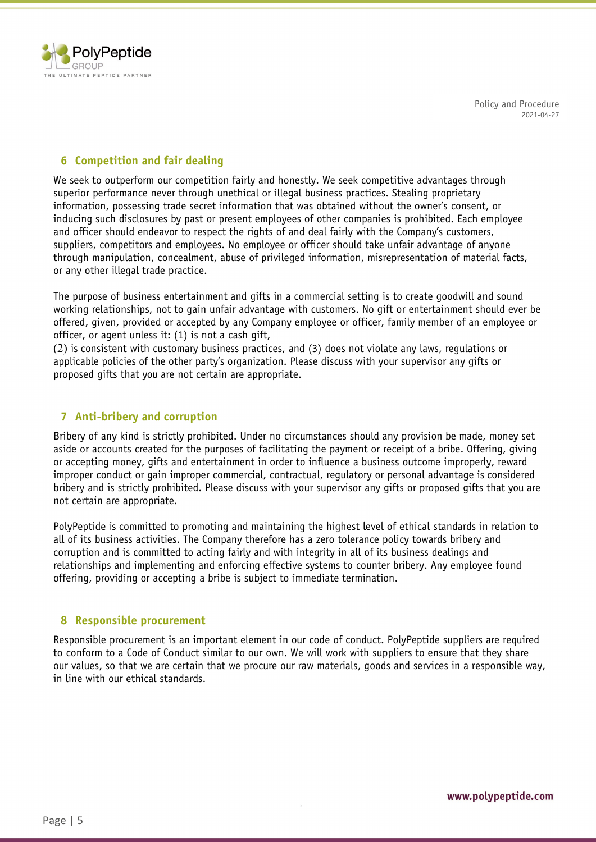

## <span id="page-4-2"></span>**6 Competition and fair dealing**

We seek to outperform our competition fairly and honestly. We seek competitive advantages through superior performance never through unethical or illegal business practices. Stealing proprietary information, possessing trade secret information that was obtained without the owner's consent, or inducing such disclosures by past or present employees of other companies is prohibited. Each employee and officer should endeavor to respect the rights of and deal fairly with the Company's customers, suppliers, competitors and employees. No employee or officer should take unfair advantage of anyone through manipulation, concealment, abuse of privileged information, misrepresentation of material facts, or any other illegal trade practice.

<span id="page-4-0"></span>The purpose of business entertainment and gifts in a commercial setting is to create goodwill and sound working relationships, not to gain unfair advantage with customers. No gift or entertainment should ever be offered, given, provided or accepted by any Company employee or officer, family member of an employee or officer, or agent unless it: (1) is not a cash gift,

(2) is consistent with customary business practices, and (3) does not violate any laws, regulations or applicable policies of the other party's organization. Please discuss with your supervisor any gifts or proposed gifts that you are not certain are appropriate.

## <span id="page-4-3"></span><span id="page-4-1"></span>**7 Anti-bribery and corruption**

Bribery of any kind is strictly prohibited. Under no circumstances should any provision be made, money set aside or accounts created for the purposes of facilitating the payment or receipt of a bribe. Offering, giving or accepting money, gifts and entertainment in order to influence a business outcome improperly, reward improper conduct or gain improper commercial, contractual, regulatory or personal advantage is considered bribery and is strictly prohibited. Please discuss with your supervisor any gifts or proposed gifts that you are not certain are appropriate.

PolyPeptide is committed to promoting and maintaining the highest level of ethical standards in relation to all of its business activities. The Company therefore has a zero tolerance policy towards bribery and corruption and is committed to acting fairly and with integrity in all of its business dealings and relationships and implementing and enforcing effective systems to counter bribery. Any employee found offering, providing or accepting a bribe is subject to immediate termination.

## <span id="page-4-4"></span>**8 Responsible procurement**

Responsible procurement is an important element in our code of conduct. PolyPeptide suppliers are required to conform to a Code of Conduct similar to our own. We will work with suppliers to ensure that they share our values, so that we are certain that we procure our raw materials, goods and services in a responsible way, in line with our ethical standards.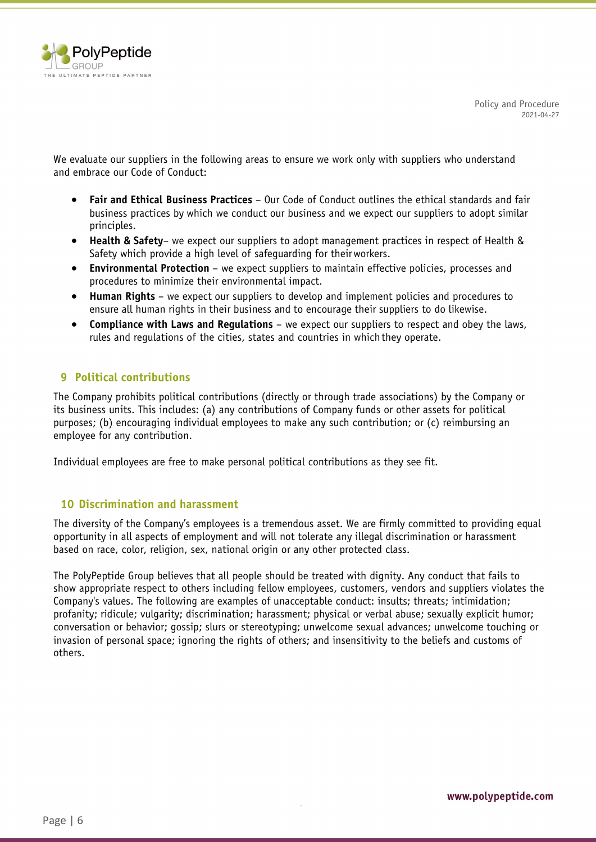

We evaluate our suppliers in the following areas to ensure we work only with suppliers who understand and embrace our Code of Conduct:

- **Fair and Ethical Business Practices**  Our Code of Conduct outlines the ethical standards and fair business practices by which we conduct our business and we expect our suppliers to adopt similar principles.
- **Health & Safety** we expect our suppliers to adopt management practices in respect of Health & Safety which provide a high level of safeguarding for theirworkers.
- **Environmental Protection**  we expect suppliers to maintain effective policies, processes and procedures to minimize their environmental impact.
- **Human Rights**  we expect our suppliers to develop and implement policies and procedures to ensure all human rights in their business and to encourage their suppliers to do likewise.
- **Compliance with Laws and Regulations**  we expect our suppliers to respect and obey the laws, rules and regulations of the cities, states and countries in which they operate.

## <span id="page-5-2"></span>**9 Political contributions**

<span id="page-5-0"></span>The Company prohibits political contributions (directly or through trade associations) by the Company or its business units. This includes: (a) any contributions of Company funds or other assets for political purposes; (b) encouraging individual employees to make any such contribution; or (c) reimbursing an employee for any contribution.

Individual employees are free to make personal political contributions as they see fit.

## <span id="page-5-3"></span>**10 Discrimination and harassment**

The diversity of the Company's employees is a tremendous asset. We are firmly committed to providing equal opportunity in all aspects of employment and will not tolerate any illegal discrimination or harassment based on race, color, religion, sex, national origin or any other protected class.

<span id="page-5-1"></span>The PolyPeptide Group believes that all people should be treated with dignity. Any conduct that fails to show appropriate respect to others including fellow employees, customers, vendors and suppliers violates the Company's values. The following are examples of unacceptable conduct: insults; threats; intimidation; profanity; ridicule; vulgarity; discrimination; harassment; physical or verbal abuse; sexually explicit humor; conversation or behavior; gossip; slurs or stereotyping; unwelcome sexual advances; unwelcome touching or invasion of personal space; ignoring the rights of others; and insensitivity to the beliefs and customs of others.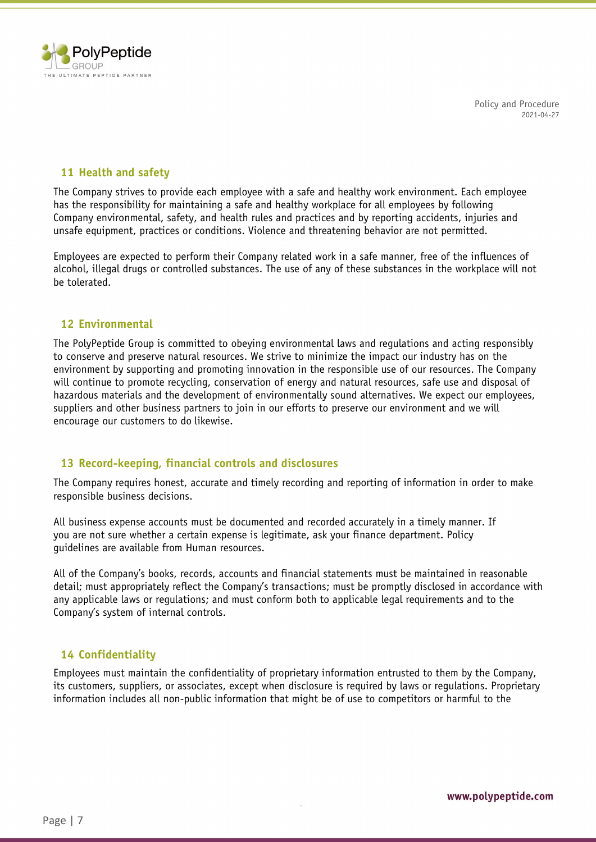

## <span id="page-6-2"></span>**11 Health and safety**

The Company strives to provide each employee with a safe and healthy work environment. Each employee has the responsibility for maintaining a safe and healthy workplace for all employees by following Company environmental, safety, and health rules and practices and by reporting accidents, injuries and unsafe equipment, practices or conditions. Violence and threatening behavior are not permitted.

Employees are expected to perform their Company related work in a safe manner, free of the influences of alcohol, illegal drugs or controlled substances. The use of any of these substances in the workplace will not be tolerated.

#### <span id="page-6-3"></span><span id="page-6-0"></span>**12 Environmental**

The PolyPeptide Group is committed to obeying environmental laws and regulations and acting responsibly to conserve and preserve natural resources. We strive to minimize the impact our industry has on the environment by supporting and promoting innovation in the responsible use of our resources. The Company will continue to promote recycling, conservation of energy and natural resources, safe use and disposal of hazardous materials and the development of environmentally sound alternatives. We expect our employees, suppliers and other business partners to join in our efforts to preserve our environment and we will encourage our customers to do likewise.

## <span id="page-6-4"></span>**13 Record-keeping, financial controls and disclosures**

The Company requires honest, accurate and timely recording and reporting of information in order to make responsible business decisions.

<span id="page-6-1"></span>All business expense accounts must be documented and recorded accurately in a timely manner. If you are not sure whether a certain expense is legitimate, ask your finance department. Policy guidelines are available from Human resources.

All of the Company's books, records, accounts and financial statements must be maintained in reasonable detail; must appropriately reflect the Company's transactions; must be promptly disclosed in accordance with any applicable laws or regulations; and must conform both to applicable legal requirements and to the Company's system of internal controls.

## <span id="page-6-5"></span>**14 Confidentiality**

Employees must maintain the confidentiality of proprietary information entrusted to them by the Company, its customers, suppliers, or associates, except when disclosure is required by laws or regulations. Proprietary information includes all non-public information that might be of use to competitors or harmful to the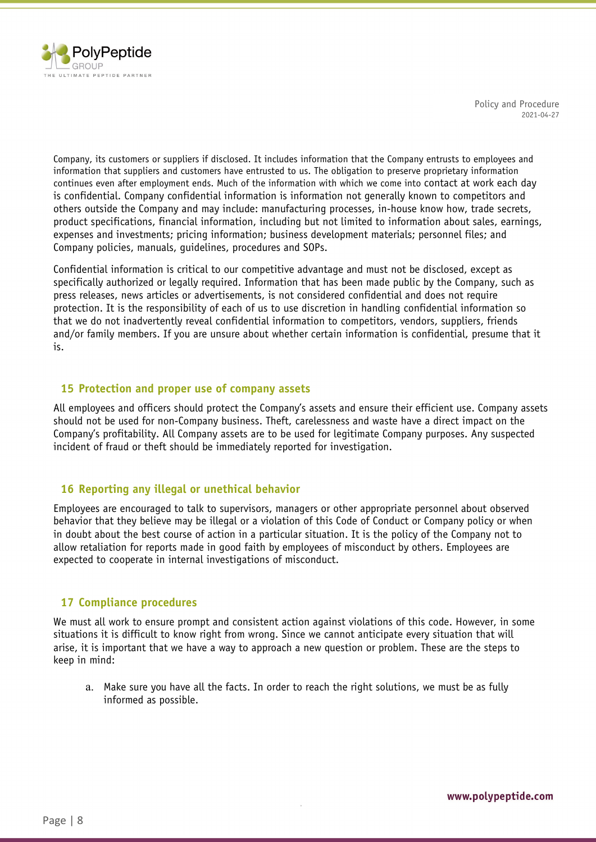

Company, its customers or suppliers if disclosed. It includes information that the Company entrusts to employees and information that suppliers and customers have entrusted to us. The obligation to preserve proprietary information continues even after employment ends. Much of the information with which we come into contact at work each day is confidential. Company confidential information is information not generally known to competitors and others outside the Company and may include: manufacturing processes, in-house know how, trade secrets, product specifications, financial information, including but not limited to information about sales, earnings, expenses and investments; pricing information; business development materials; personnel files; and Company policies, manuals, guidelines, procedures and SOPs.

Confidential information is critical to our competitive advantage and must not be disclosed, except as specifically authorized or legally required. Information that has been made public by the Company, such as press releases, news articles or advertisements, is not considered confidential and does not require protection. It is the responsibility of each of us to use discretion in handling confidential information so that we do not inadvertently reveal confidential information to competitors, vendors, suppliers, friends and/or family members. If you are unsure about whether certain information is confidential, presume that it is.

## <span id="page-7-3"></span><span id="page-7-0"></span>**15 Protection and proper use of company assets**

All employees and officers should protect the Company's assets and ensure their efficient use. Company assets should not be used for non-Company business. Theft, carelessness and waste have a direct impact on the Company's profitability. All Company assets are to be used for legitimate Company purposes. Any suspected incident of fraud or theft should be immediately reported for investigation.

## <span id="page-7-1"></span>**16 Reporting any illegal or unethical behavior**

Employees are encouraged to talk to supervisors, managers or other appropriate personnel about observed behavior that they believe may be illegal or a violation of this Code of Conduct or Company policy or when in doubt about the best course of action in a particular situation. It is the policy of the Company not to allow retaliation for reports made in good faith by employees of misconduct by others. Employees are expected to cooperate in internal investigations of misconduct.

## <span id="page-7-4"></span>**17 Compliance procedures**

We must all work to ensure prompt and consistent action against violations of this code. However, in some situations it is difficult to know right from wrong. Since we cannot anticipate every situation that will arise, it is important that we have a way to approach a new question or problem. These are the steps to keep in mind:

<span id="page-7-2"></span>a. Make sure you have all the facts. In order to reach the right solutions, we must be as fully informed as possible.